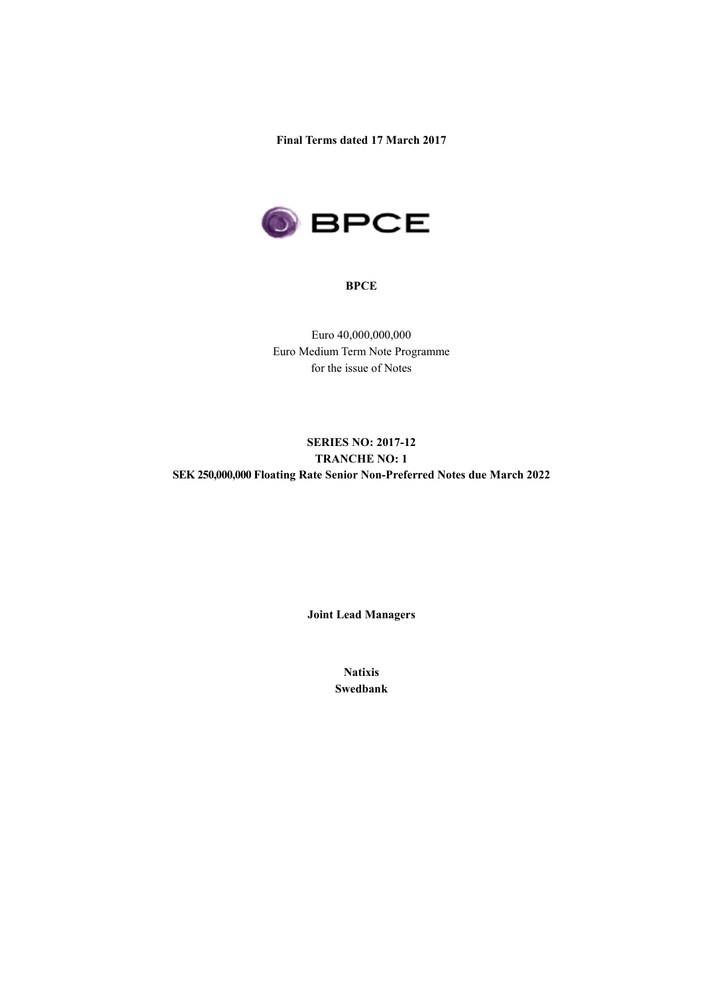**Final Terms dated 17 March 2017**



### **BPCE**

Euro 40,000,000,000 Euro Medium Term Note Programme for the issue of Notes

# **SERIES NO: 2017-12 TRANCHE NO: 1 SEK 250,000,000 Floating Rate Senior Non-Preferred Notes due March 2022**

**Joint Lead Managers**

**Natixis Swedbank**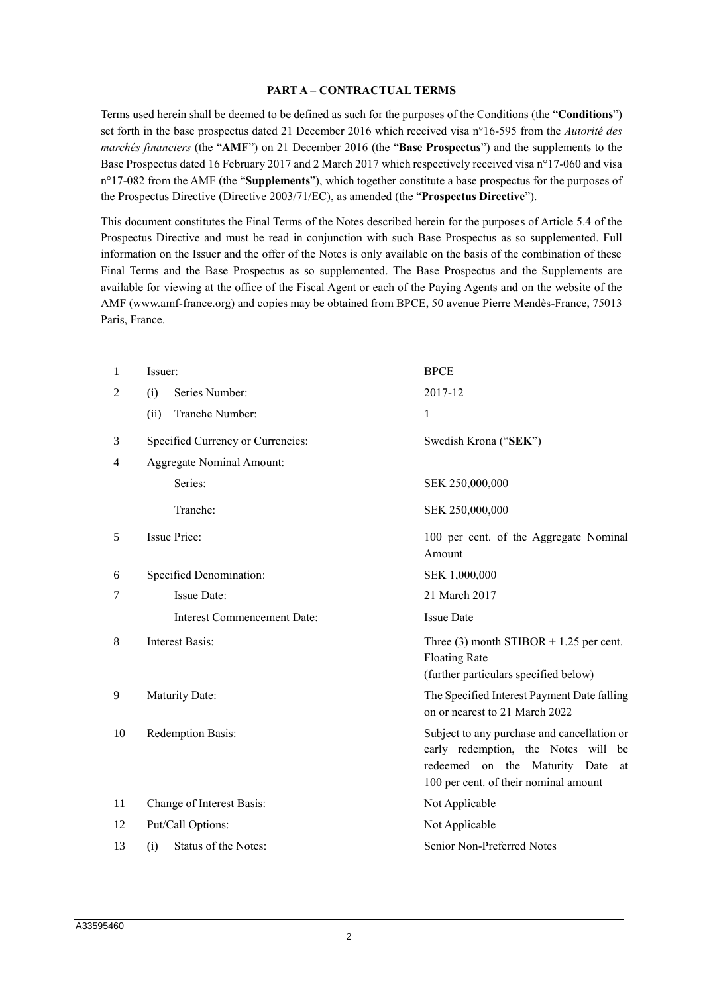#### **PART A – CONTRACTUAL TERMS**

Terms used herein shall be deemed to be defined as such for the purposes of the Conditions (the "**Conditions**") set forth in the base prospectus dated 21 December 2016 which received visa n°16-595 from the *Autorité des marchés financiers* (the "**AMF**") on 21 December 2016 (the "**Base Prospectus**") and the supplements to the Base Prospectus dated 16 February 2017 and 2 March 2017 which respectively received visa n°17-060 and visa n°17-082 from the AMF (the "**Supplements**"), which together constitute a base prospectus for the purposes of the Prospectus Directive (Directive 2003/71/EC), as amended (the "**Prospectus Directive**").

This document constitutes the Final Terms of the Notes described herein for the purposes of Article 5.4 of the Prospectus Directive and must be read in conjunction with such Base Prospectus as so supplemented. Full information on the Issuer and the offer of the Notes is only available on the basis of the combination of these Final Terms and the Base Prospectus as so supplemented. The Base Prospectus and the Supplements are available for viewing at the office of the Fiscal Agent or each of the Paying Agents and on the website of the AMF (www.amf-france.org) and copies may be obtained from BPCE, 50 avenue Pierre Mendès-France, 75013 Paris, France.

| 1  | Issuer:                            | <b>BPCE</b>                                                                                                                                                        |
|----|------------------------------------|--------------------------------------------------------------------------------------------------------------------------------------------------------------------|
| 2  | Series Number:<br>(i)              | 2017-12                                                                                                                                                            |
|    | Tranche Number:<br>(ii)            | $\mathbf{1}$                                                                                                                                                       |
| 3  | Specified Currency or Currencies:  | Swedish Krona ("SEK")                                                                                                                                              |
| 4  | <b>Aggregate Nominal Amount:</b>   |                                                                                                                                                                    |
|    | Series:                            | SEK 250,000,000                                                                                                                                                    |
|    | Tranche:                           | SEK 250,000,000                                                                                                                                                    |
| 5  | <b>Issue Price:</b>                | 100 per cent. of the Aggregate Nominal<br>Amount                                                                                                                   |
| 6  | Specified Denomination:            | SEK 1,000,000                                                                                                                                                      |
| 7  | <b>Issue Date:</b>                 | 21 March 2017                                                                                                                                                      |
|    | <b>Interest Commencement Date:</b> | <b>Issue Date</b>                                                                                                                                                  |
| 8  | <b>Interest Basis:</b>             | Three $(3)$ month STIBOR + 1.25 per cent.<br><b>Floating Rate</b><br>(further particulars specified below)                                                         |
| 9  | Maturity Date:                     | The Specified Interest Payment Date falling<br>on or nearest to 21 March 2022                                                                                      |
| 10 | Redemption Basis:                  | Subject to any purchase and cancellation or<br>early redemption, the Notes will be<br>redeemed on the Maturity Date<br>at<br>100 per cent. of their nominal amount |
| 11 | Change of Interest Basis:          | Not Applicable                                                                                                                                                     |
| 12 | Put/Call Options:                  | Not Applicable                                                                                                                                                     |
| 13 | Status of the Notes:<br>(i)        | Senior Non-Preferred Notes                                                                                                                                         |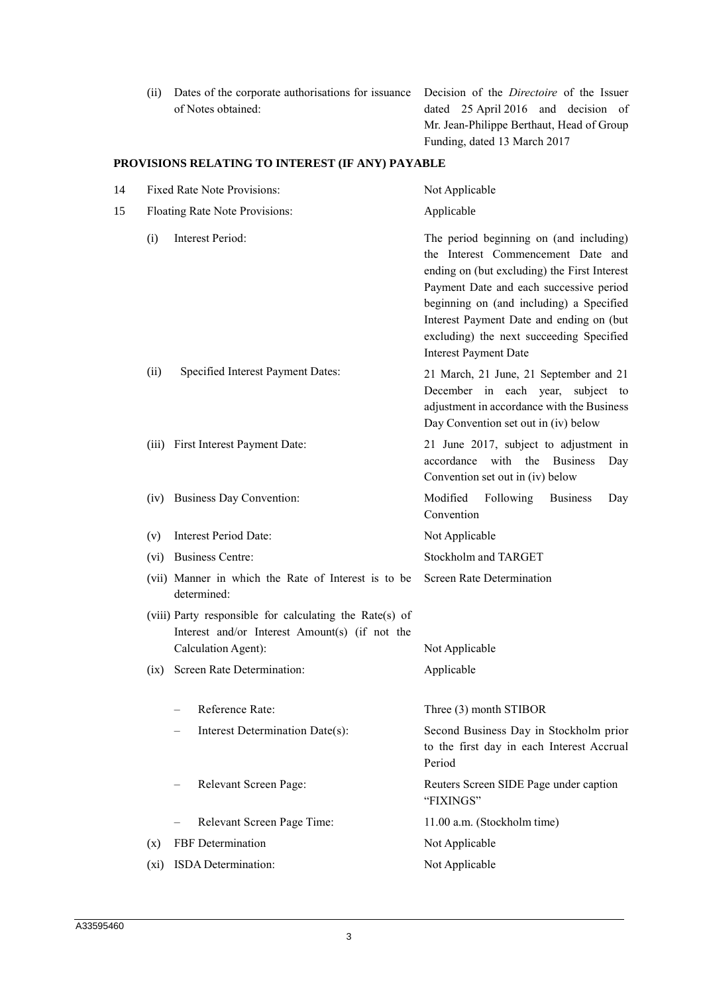(ii) Dates of the corporate authorisations for issuance Decision of the *Directoire* of the Issuer of Notes obtained:

dated 25 April 2016 and decision of Mr. Jean-Philippe Berthaut, Head of Group Funding, dated 13 March 2017

# **PROVISIONS RELATING TO INTEREST (IF ANY) PAYABLE**

| 14 |      | <b>Fixed Rate Note Provisions:</b>                                                                                                                             | Not Applicable                                                                                                                                                                                                                                                                                                                               |  |
|----|------|----------------------------------------------------------------------------------------------------------------------------------------------------------------|----------------------------------------------------------------------------------------------------------------------------------------------------------------------------------------------------------------------------------------------------------------------------------------------------------------------------------------------|--|
| 15 |      | Floating Rate Note Provisions:                                                                                                                                 | Applicable                                                                                                                                                                                                                                                                                                                                   |  |
|    | (i)  | <b>Interest Period:</b>                                                                                                                                        | The period beginning on (and including)<br>the Interest Commencement Date and<br>ending on (but excluding) the First Interest<br>Payment Date and each successive period<br>beginning on (and including) a Specified<br>Interest Payment Date and ending on (but<br>excluding) the next succeeding Specified<br><b>Interest Payment Date</b> |  |
|    | (ii) | Specified Interest Payment Dates:                                                                                                                              | 21 March, 21 June, 21 September and 21<br>December in each year, subject to<br>adjustment in accordance with the Business<br>Day Convention set out in (iv) below                                                                                                                                                                            |  |
|    |      | (iii) First Interest Payment Date:                                                                                                                             | 21 June 2017, subject to adjustment in<br>accordance with the Business<br>Day<br>Convention set out in (iv) below                                                                                                                                                                                                                            |  |
|    |      | (iv) Business Day Convention:                                                                                                                                  | Modified<br>Following<br><b>Business</b><br>Day<br>Convention                                                                                                                                                                                                                                                                                |  |
|    | (v)  | <b>Interest Period Date:</b>                                                                                                                                   | Not Applicable                                                                                                                                                                                                                                                                                                                               |  |
|    | (vi) | <b>Business Centre:</b>                                                                                                                                        | Stockholm and TARGET                                                                                                                                                                                                                                                                                                                         |  |
|    |      | (vii) Manner in which the Rate of Interest is to be<br>determined:                                                                                             | <b>Screen Rate Determination</b>                                                                                                                                                                                                                                                                                                             |  |
|    | (ix) | (viii) Party responsible for calculating the Rate(s) of<br>Interest and/or Interest Amount(s) (if not the<br>Calculation Agent):<br>Screen Rate Determination: | Not Applicable<br>Applicable                                                                                                                                                                                                                                                                                                                 |  |
|    |      |                                                                                                                                                                |                                                                                                                                                                                                                                                                                                                                              |  |
|    |      | Reference Rate:                                                                                                                                                | Three (3) month STIBOR                                                                                                                                                                                                                                                                                                                       |  |
|    |      | Interest Determination Date(s):                                                                                                                                | Second Business Day in Stockholm prior<br>to the first day in each Interest Accrual<br>Period                                                                                                                                                                                                                                                |  |
|    |      | Relevant Screen Page:                                                                                                                                          | Reuters Screen SIDE Page under caption<br>"FIXINGS"                                                                                                                                                                                                                                                                                          |  |
|    |      | Relevant Screen Page Time:                                                                                                                                     | 11.00 a.m. (Stockholm time)                                                                                                                                                                                                                                                                                                                  |  |
|    | (x)  | FBF Determination                                                                                                                                              | Not Applicable                                                                                                                                                                                                                                                                                                                               |  |
|    | (xi) | ISDA Determination:                                                                                                                                            | Not Applicable                                                                                                                                                                                                                                                                                                                               |  |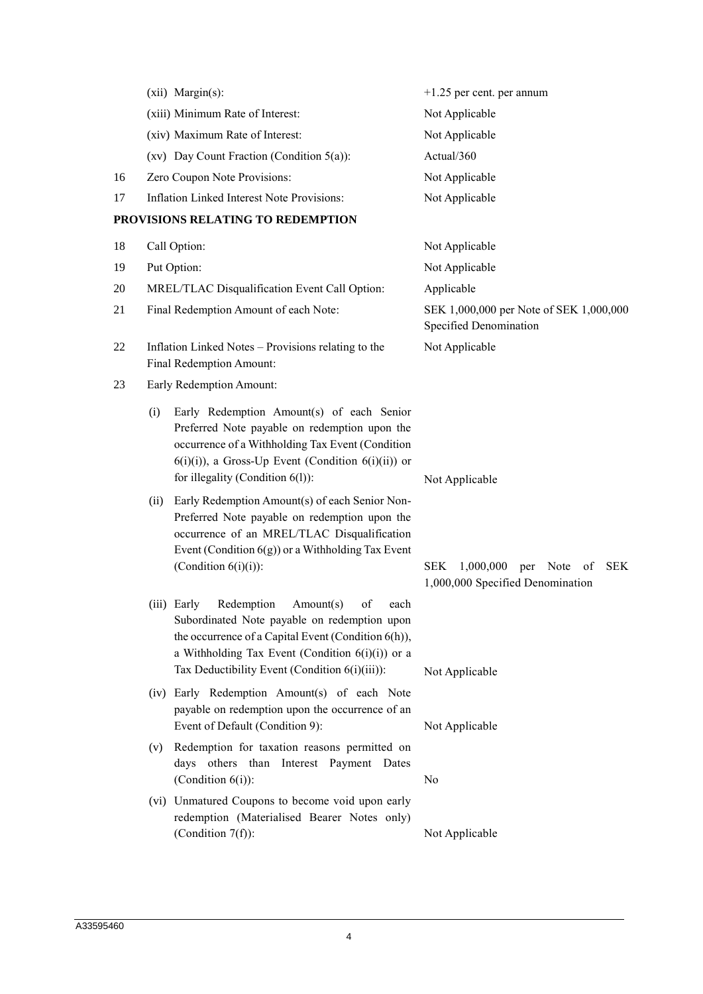|    | (xii) Margin(s):                                                                                                                                                                                                                                         | $+1.25$ per cent. per annum                                       |
|----|----------------------------------------------------------------------------------------------------------------------------------------------------------------------------------------------------------------------------------------------------------|-------------------------------------------------------------------|
|    | (xiii) Minimum Rate of Interest:                                                                                                                                                                                                                         | Not Applicable                                                    |
|    | (xiv) Maximum Rate of Interest:                                                                                                                                                                                                                          | Not Applicable                                                    |
|    | $(xv)$ Day Count Fraction (Condition 5(a)):                                                                                                                                                                                                              | Actual/360                                                        |
| 16 | Zero Coupon Note Provisions:                                                                                                                                                                                                                             | Not Applicable                                                    |
| 17 | Inflation Linked Interest Note Provisions:                                                                                                                                                                                                               | Not Applicable                                                    |
|    | PROVISIONS RELATING TO REDEMPTION                                                                                                                                                                                                                        |                                                                   |
| 18 | Call Option:                                                                                                                                                                                                                                             | Not Applicable                                                    |
| 19 | Put Option:                                                                                                                                                                                                                                              | Not Applicable                                                    |
| 20 | MREL/TLAC Disqualification Event Call Option:                                                                                                                                                                                                            | Applicable                                                        |
| 21 | Final Redemption Amount of each Note:                                                                                                                                                                                                                    | SEK 1,000,000 per Note of SEK 1,000,000<br>Specified Denomination |
| 22 | Inflation Linked Notes - Provisions relating to the<br>Final Redemption Amount:                                                                                                                                                                          | Not Applicable                                                    |
| 23 | Early Redemption Amount:                                                                                                                                                                                                                                 |                                                                   |
|    | Early Redemption Amount(s) of each Senior<br>(i)<br>Preferred Note payable on redemption upon the<br>occurrence of a Withholding Tax Event (Condition<br>$6(i)(i)$ , a Gross-Up Event (Condition $6(i)(ii)$ ) or<br>for illegality (Condition $6(l)$ ):  | Not Applicable                                                    |
|    | Early Redemption Amount(s) of each Senior Non-<br>(ii)<br>Preferred Note payable on redemption upon the<br>occurrence of an MREL/TLAC Disqualification<br>Event (Condition $6(g)$ ) or a Withholding Tax Event<br>(Condition $6(i)(i)$ ):                | <b>SEK</b><br>1,000,000<br>Note<br><b>SEK</b><br>per<br>of        |
|    | (iii) Early Redemption Amount(s) of each<br>Subordinated Note payable on redemption upon<br>the occurrence of a Capital Event (Condition 6(h)),<br>a Withholding Tax Event (Condition $6(i)(i)$ ) or a<br>Tax Deductibility Event (Condition 6(i)(iii)): | 1,000,000 Specified Denomination<br>Not Applicable                |
|    | (iv) Early Redemption Amount(s) of each Note<br>payable on redemption upon the occurrence of an<br>Event of Default (Condition 9):                                                                                                                       | Not Applicable                                                    |
|    | Redemption for taxation reasons permitted on<br>(v)<br>days others than Interest Payment Dates<br>(Condition $6(i)$ ):                                                                                                                                   | No                                                                |
|    | (vi) Unmatured Coupons to become void upon early<br>redemption (Materialised Bearer Notes only)<br>(Condition $7(f)$ ):                                                                                                                                  | Not Applicable                                                    |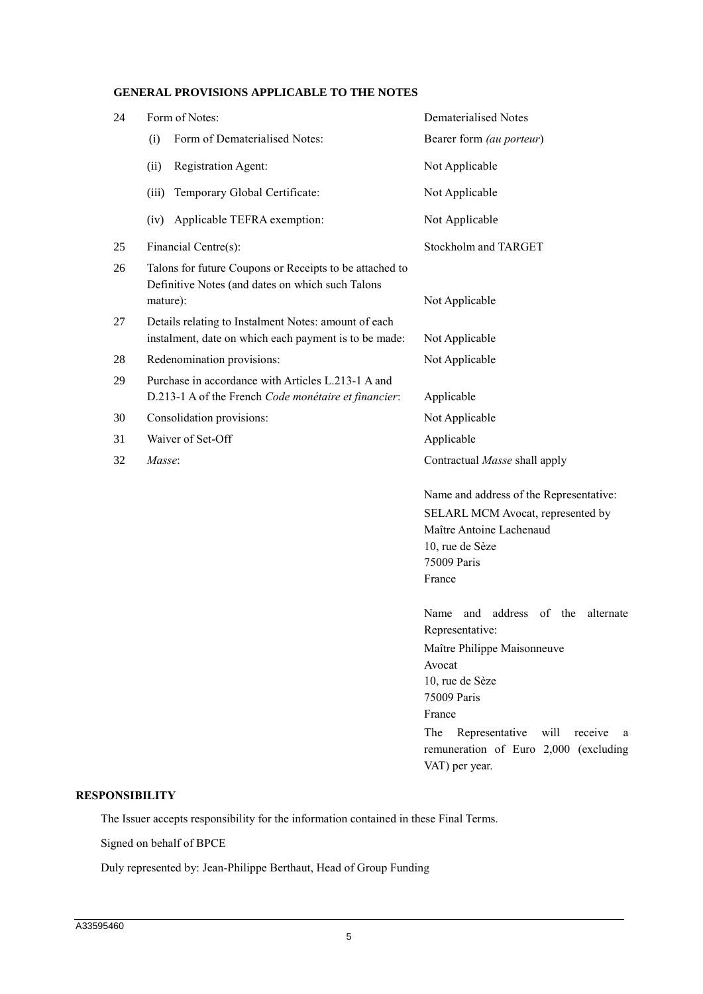# **GENERAL PROVISIONS APPLICABLE TO THE NOTES**

| 24                    | Form of Notes:                                                                                                          | <b>Dematerialised Notes</b>                                                                                                                                                                                                                          |
|-----------------------|-------------------------------------------------------------------------------------------------------------------------|------------------------------------------------------------------------------------------------------------------------------------------------------------------------------------------------------------------------------------------------------|
|                       | Form of Dematerialised Notes:<br>(i)                                                                                    | Bearer form (au porteur)                                                                                                                                                                                                                             |
|                       | Registration Agent:<br>(ii)                                                                                             | Not Applicable                                                                                                                                                                                                                                       |
|                       | Temporary Global Certificate:<br>(iii)                                                                                  | Not Applicable                                                                                                                                                                                                                                       |
|                       | Applicable TEFRA exemption:<br>(iv)                                                                                     | Not Applicable                                                                                                                                                                                                                                       |
| 25                    | Financial Centre(s):                                                                                                    | Stockholm and TARGET                                                                                                                                                                                                                                 |
| 26                    | Talons for future Coupons or Receipts to be attached to<br>Definitive Notes (and dates on which such Talons<br>mature): | Not Applicable                                                                                                                                                                                                                                       |
| 27                    | Details relating to Instalment Notes: amount of each<br>instalment, date on which each payment is to be made:           | Not Applicable                                                                                                                                                                                                                                       |
| 28                    | Redenomination provisions:                                                                                              | Not Applicable                                                                                                                                                                                                                                       |
| 29                    | Purchase in accordance with Articles L.213-1 A and<br>D.213-1 A of the French Code monétaire et financier:              | Applicable                                                                                                                                                                                                                                           |
| 30                    | Consolidation provisions:                                                                                               | Not Applicable                                                                                                                                                                                                                                       |
| 31                    | Waiver of Set-Off                                                                                                       | Applicable                                                                                                                                                                                                                                           |
| 32                    | Masse:                                                                                                                  | Contractual Masse shall apply                                                                                                                                                                                                                        |
|                       |                                                                                                                         | Name and address of the Representative:<br>SELARL MCM Avocat, represented by<br>Maître Antoine Lachenaud<br>10, rue de Sèze<br>75009 Paris<br>France                                                                                                 |
|                       |                                                                                                                         | address<br>Name<br>of<br>the<br>alternate<br>and<br>Representative:<br>Maître Philippe Maisonneuve<br>Avocat<br>10, rue de Sèze<br>75009 Paris<br>France<br>The<br>Representative<br>will<br>receive<br>a a<br>remuneration of Euro 2,000 (excluding |
| <b>RESPONSIBILITY</b> |                                                                                                                         | VAT) per year.                                                                                                                                                                                                                                       |

The Issuer accepts responsibility for the information contained in these Final Terms.

Signed on behalf of BPCE

Duly represented by: Jean-Philippe Berthaut, Head of Group Funding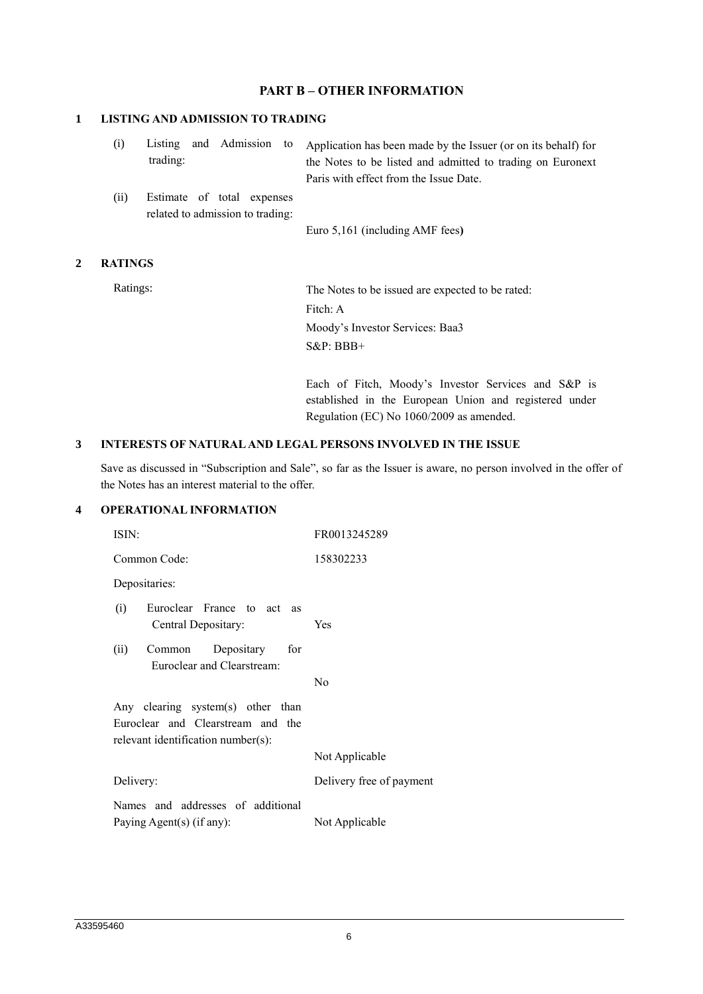# **PART B – OTHER INFORMATION**

### **1 LISTING AND ADMISSION TO TRADING**

| trading: |  | (i) Listing and Admission to Application has been made by the Issuer (or on its behalf) for<br>the Notes to be listed and admitted to trading on Euronext<br>Paris with effect from the Issue Date. |
|----------|--|-----------------------------------------------------------------------------------------------------------------------------------------------------------------------------------------------------|
|          |  |                                                                                                                                                                                                     |

(ii) Estimate of total expenses related to admission to trading:

Euro 5,161 (including AMF fees**)**

### **2 RATINGS**

Ratings: The Notes to be issued are expected to be rated: Fitch: A Moody's Investor Services: Baa3 S&P: BBB+

> Each of Fitch, Moody's Investor Services and S&P is established in the European Union and registered under Regulation (EC) No 1060/2009 as amended.

#### **3 INTERESTS OF NATURAL AND LEGAL PERSONS INVOLVED IN THE ISSUE**

Save as discussed in "Subscription and Sale", so far as the Issuer is aware, no person involved in the offer of the Notes has an interest material to the offer.

#### **4 OPERATIONAL INFORMATION**

| ISIN:                                                                                                        | FR0013245289             |
|--------------------------------------------------------------------------------------------------------------|--------------------------|
| Common Code:                                                                                                 | 158302233                |
| Depositaries:                                                                                                |                          |
| Euroclear France to act as<br>(i)<br>Central Depositary:                                                     | Yes                      |
| Depositary for<br>(ii)<br>Common<br>Euroclear and Clearstream:                                               |                          |
|                                                                                                              | No                       |
| Any clearing system(s) other than<br>Euroclear and Clearstream and the<br>relevant identification number(s): |                          |
|                                                                                                              | Not Applicable           |
| Delivery:                                                                                                    | Delivery free of payment |
| Names and addresses of additional<br>Paying Agent(s) (if any):                                               | Not Applicable           |